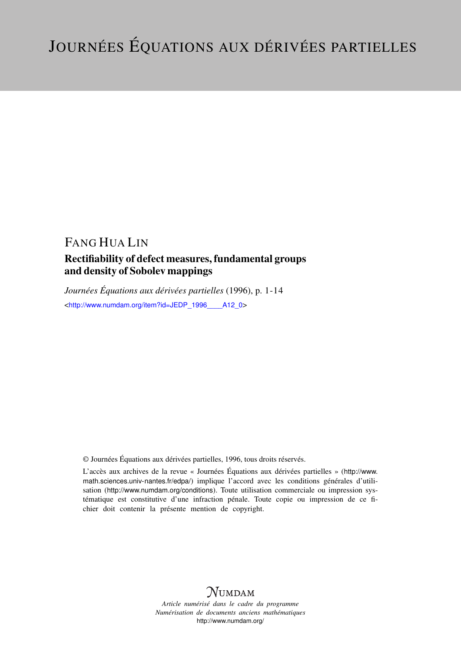# FANG HUA LIN

### Rectifiability of defect measures, fundamental groups and density of Sobolev mappings

*Journées Équations aux dérivées partielles* (1996), p. 1-14 <[http://www.numdam.org/item?id=JEDP\\_1996\\_\\_\\_\\_A12\\_0](http://www.numdam.org/item?id=JEDP_1996____A12_0)>

© Journées Équations aux dérivées partielles, 1996, tous droits réservés.

L'accès aux archives de la revue « Journées Équations aux dérivées partielles » ([http://www.](http://www.math.sciences.univ-nantes.fr/edpa/) [math.sciences.univ-nantes.fr/edpa/](http://www.math.sciences.univ-nantes.fr/edpa/)) implique l'accord avec les conditions générales d'utilisation (<http://www.numdam.org/conditions>). Toute utilisation commerciale ou impression systématique est constitutive d'une infraction pénale. Toute copie ou impression de ce fichier doit contenir la présente mention de copyright.



*Article numérisé dans le cadre du programme Numérisation de documents anciens mathématiques* <http://www.numdam.org/>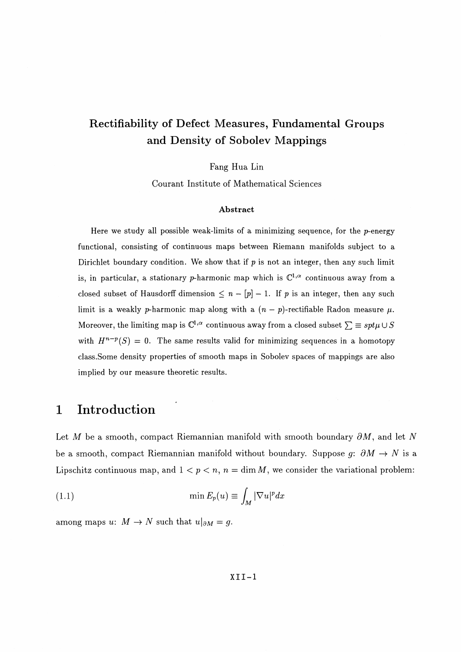# **Rectifiability of Defect Measures, Fundamental Groups and Density of Sobolev Mappings**

Fang Hua Lin

Courant Institute of Mathematical Sciences

### **Abstract**

Here we study all possible weak-limits of a minimizing sequence, for the  $p$ -energy functional, consisting of continuous maps between Riemann manifolds subject to a Dirichlet boundary condition. We show that if  $p$  is not an integer, then any such limit is, in particular, a stationary *p*-harmonic map which is  $\mathbb{C}^{1,\alpha}$  continuous away from a closed subset of Hausdorff dimension  $\leq n - [p] - 1$ . If p is an integer, then any such limit is a weakly *p*-harmonic map along with a  $(n - p)$ -rectifiable Radon measure  $\mu$ . Moreover, the limiting map is  $\mathbb{C}^{1,\alpha}$  continuous away from a closed subset  $\sum \equiv spt\mu \cup S$ with  $H^{n-p}(S) = 0$ . The same results valid for minimizing sequences in a homotopy class.Some density properties of smooth maps in Sobolev spaces of mappings are also implied by our measure theoretic results.

## **1 Introduction**

Let M be a smooth, compact Riemannian manifold with smooth boundary  $\partial M$ , and let N be a smooth, compact Riemannian manifold without boundary. Suppose  $g: \partial M \to N$  is a Lipschitz continuous map, and  $1 < p < n$ ,  $n = \dim M$ , we consider the variational problem:

(1.1) 
$$
\min E_p(u) \equiv \int_M |\nabla u|^p dx
$$

among maps  $u: M \to N$  such that  $u|_{\partial M} = g$ .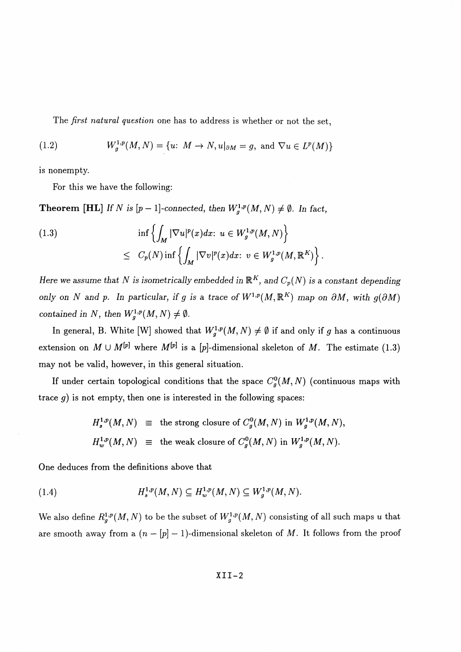The *first natural question* one has to address is whether or not the set,

(1.2) 
$$
W_g^{1,p}(M,N) = \{u: M \to N, u|_{\partial M} = g, \text{ and } \nabla u \in L^p(M)\}
$$

is nonempty.

For this we have the following:

**Theorem** [**HL**] If N is  $[p-1]$ -connected, then  $W^{1,p}_g(M, N) \neq \emptyset$ . In fact,

(1.3)  

$$
\inf \left\{ \int_M |\nabla u|^p(x) dx : u \in W_g^{1,p}(M,N) \right\}
$$

$$
\leq C_p(N) \inf \left\{ \int_M |\nabla v|^p(x) dx : v \in W_g^{1,p}(M,\mathbb{R}^K) \right\}.
$$

*Here we assume that N is isometrically embedded in*  $\mathbb{R}^K$ *, and*  $C_p(N)$  *is a constant depending only on N and p. In particular, if g is a trace of*  $W^{1,p}(M,\mathbb{R}^K)$  *map on*  $\partial M$ *, with*  $q(\partial M)$ *contained in N, then*  $W^{1,p}_g(M, N) \neq \emptyset$ .

In general, B. White [W] showed that  $W^{1,p}_g(M, N) \neq \emptyset$  if and only if g has a continuous extension on  $M \cup M^{[p]}$  where  $M^{[p]}$  is a [p]-dimensional skeleton of M. The estimate (1.3) may not be valid, however, in this general situation.

If under certain topological conditions that the space  $C_g^0(M, N)$  (continuous maps with trace *g)* is not empty, then one is interested in the following spaces:

$$
H_s^{1,p}(M,N) \equiv \text{the strong closure of } C_g^0(M,N) \text{ in } W_g^{1,p}(M,N),
$$
  

$$
H_w^{1,p}(M,N) \equiv \text{the weak closure of } C_g^0(M,N) \text{ in } W_g^{1,p}(M,N).
$$

One deduces from the definitions above that

(1.4) 
$$
H_s^{1,p}(M,N) \subseteq H_w^{1,p}(M,N) \subseteq W_g^{1,p}(M,N).
$$

We also define  $R^{1,p}_{g}(M,N)$  to be the subset of  $W^{1,p}_{g}(M,N)$  consisting of all such maps *u* that are smooth away from a  $(n - [p] - 1)$ -dimensional skeleton of M. It follows from the proof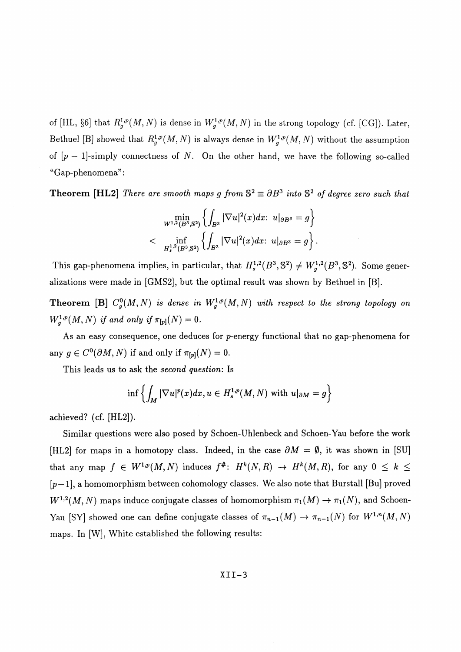of [HL, §6] that  $R^{1,p}_{g}(M,N)$  is dense in  $W^{1,p}_{g}(M,N)$  in the strong topology (cf. [CG]). Later, Bethuel [B] showed that  $R^{1,p}_g(M,N)$  is always dense in  $W^{1,p}_g(M,N)$  without the assumption of *[p —* l]-simply connectness of *N.* **On** the other hand, we have the following so-called "Gap-phenomena^:

**Theorem [HL2]** There are smooth maps g from  $S^2 \equiv \partial B^3$  into  $S^2$  of degree zero such that

$$
\min_{W^{1,2}(B^3,S^2)} \left\{ \int_{B^3} |\nabla u|^2(x) dx: \ u|_{\partial B^3} = g \right\}
$$
  

$$
<\quad \inf_{H^{1,2}_s(B^3,S^2)} \left\{ \int_{B^3} |\nabla u|^2(x) dx: \ u|_{\partial B^3} = g \right\}.
$$

This gap-phenomena implies, in particular, that  $H_s^{1,2}(B^3, \mathbb{S}^2) \neq W_q^{1,2}(B^3, \mathbb{S}^2)$ . Some generalizations were made in [GMS2], but the optimal result was shown by Bethuel in [B].

**Theorem [B]**  $C_g^0(M,N)$  is dense in  $W^{1,p}_g(M,N)$  with respect to the strong topology on  $W^{1,p}_g(M, N)$  if and only if  $\pi_{[p]}(N) = 0$ .

As an easy consequence, one deduces for p-energy functional that no gap-phenomena for any  $g \in C^{0}(\partial M, N)$  if and only if  $\pi_{p}(N) = 0$ .

This leads us to ask the *second question:* Is

$$
\inf\left\{\int_M|\nabla u|^p(x)dx, u\in H_s^{1,p}(M,N)\,\,\text{with}\,\, u|_{\partial M}=g\right\}
$$

**achieved? (cf.** [HL2]).

Similar questions were also posed by Schoen-Uhlenbeck and Schoen-Yau before the work [HL2] for maps in a homotopy class. Indeed, in the case  $\partial M = \emptyset$ , it was shown in [SU] that any map  $f \in W^{1,p}(M,N)$  induces  $f^*$ :  $H^k(N,R) \to H^k(M,R)$ , for any  $0 \leq k \leq$  $[p-1]$ , a homomorphism between cohomology classes. We also note that Burstall [Bu] proved  $W^{1,2}(M,N)$  maps induce conjugate classes of homomorphism  $\pi_1(M) \to \pi_1(N)$ , and Schoen-Yau [SY] showed one can define conjugate classes of  $\pi_{n-1}(M) \to \pi_{n-1}(N)$  for  $W^{1,n}(M,N)$ maps. In [W], White established the following results: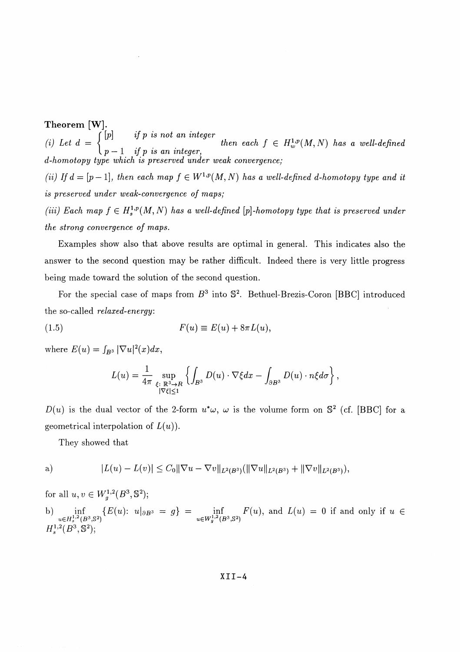**Theorem** [W],  $\sum_{i=1}^{n}$ (i) Let  $d = \begin{cases} [p] & \text{if } p \text{ is not an integer} \\ p-1 & \text{if } p \text{ is an integer}, \end{cases}$  then each  $f \in H_w^{1,p}(M,N)$  has a well-defined *d-homotopy type which is preserved under weak convergence; (ii)* If  $d = [p-1]$ , then each map  $f \in W^{1,p}(M, N)$  has a well-defined d-homotopy type and it *is preserved under weak-convergence of maps; (iii)* Each map  $f \in H^{1,p}_s(M, N)$  has a well-defined [p]-homotopy type that is preserved under *the strong convergence of maps.*

Examples show also that above results are optimal in general. This indicates also the answer to the second question may be rather difficult. Indeed there is very little progress being made toward the solution of the second question.

For the special case of maps from  $B^3$  into  $\mathbb{S}^2$ . Bethuel-Brezis-Coron [BBC] introduced the so-called *relaxed-energy:*

(1.5) 
$$
F(u) \equiv E(u) + 8\pi L(u),
$$

where  $E(u) = \int_{B^3} |\nabla u|^2(x) dx$ 

$$
L(u) = \frac{1}{4\pi} \sup_{\substack{\xi \colon \mathbb{R}^3 \to R \\ |\nabla \xi| \le 1}} \left\{ \int_{B^3} D(u) \cdot \nabla \xi dx - \int_{\partial B^3} D(u) \cdot n \xi d\sigma \right\},\,
$$

 $D(u)$  is the dual vector of the 2-form  $u^*\omega$ ,  $\omega$  is the volume form on  $\mathbb{S}^2$  (cf. [BBC] for a geometrical interpolation of  $L(u)$ ).

They showed that

a) 
$$
|L(u) - L(v)| \leq C_0 \|\nabla u - \nabla v\|_{L^2(B^3)} (\|\nabla u\|_{L^2(B^3)} + \|\nabla v\|_{L^2(B^3)}),
$$

for all  $u, v \in W^{1,2}_q(B^3, \mathbb{S}^2)$ b) inf  ${E(u): u|_{\partial B^3} = g} = \inf f(u)$ , and  $L(u) = 0$  if and only if u  $u \in H_s^{1,1}(\mathbb{B}^3, \mathbb{S}^2)$   $L^p(u)$ ,  $u \mid \partial \mathbb{B}^3 = g f = \lim_{u \in W_g^{1,2}(\mathbb{B}^3, \mathbb{S}^2)}$  $H^{1,2}_s(B^3, \mathbb{S}^2);$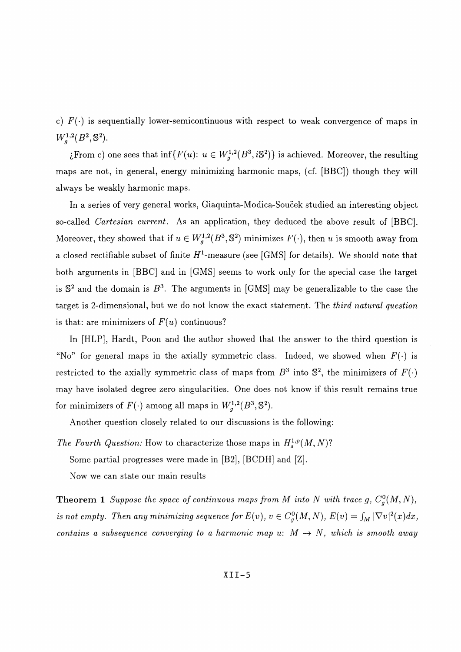c)  $F(\cdot)$  is sequentially lower-semicontinuous with respect to weak convergence of maps in  $W_q^{1,2}(B^2, \mathbb{S}^2).$ 

*i* From c) one sees that  $\inf\{F(u): u \in W_q^{1,2}(B^3, iS^2)\}$  is achieved. Moreover, the resulting maps are not, in general, energy minimizing harmonic maps, (cf. [BBC]) though they will always be weakly harmonic maps.

In a series of very general works, Giaquinta-Modica-Soucek studied an interesting object so-called *Cartesian current.* As an application, they deduced the above result of [BBC]. Moreover, they showed that if  $u \in W_q^{1,2}(B^3, \mathbb{S}^2)$  minimizes  $F(\cdot)$ , then *u* is smooth away from a closed rectifiable subset of finite  $H^1$ -measure (see [GMS] for details). We should note that both arguments in [BBC] and in [GMS] seems to work only for the special case the target is  $\mathbb{S}^2$  and the domain is  $B^3$ . The arguments in [GMS] may be generalizable to the case the target is 2-dimensional, but we do not know the exact statement. The *third natural question* is that: are minimizers of  $F(u)$  continuous?

In [HLP], Hardt, Poon and the author showed that the answer to the third question is "No" for general maps in the axially symmetric class. Indeed, we showed when  $F(\cdot)$  is restricted to the axially symmetric class of maps from  $B^3$  into  $\mathbb{S}^2$ , the minimizers of  $F(\cdot)$ may have isolated degree zero singularities. One does not know if this result remains true for minimizers of  $F(\cdot)$  among all maps in  $W^{1,2}_a(B^3,\mathbb{S}^2)$ .

Another question closely related to our discussions is the following:

*The Fourth Question:* How to characterize those maps in  $H^{1,p}_s(M,N)$ ? Some partial progresses were made in [B2], [BCDH] and [Z]. Now we can state our main results

**Theorem 1** Suppose the space of continuous maps from M into N with trace g,  $C_q^0(M, N)$ , *is not empty. Then any minimizing sequence for*  $E(v)$ ,  $v \in C_g^0(M, N)$ ,  $E(v) = \int_M |\nabla v|^2(x) dx$ , *contains a subsequence converging to a harmonic map u:*  $M \rightarrow N$ *, which is smooth away*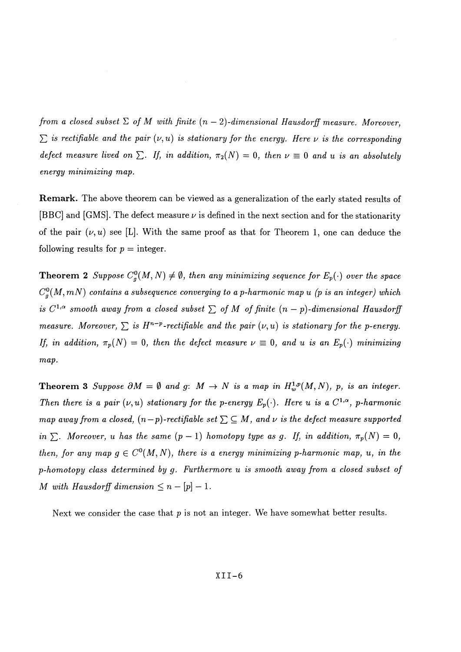*from a closed subset*  $\Sigma$  *of*  $M$  with finite  $(n-2)$ -dimensional Hausdorff measure. Moreover,  $\sum$  is rectifiable and the pair  $(\nu, u)$  is stationary for the energy. Here  $\nu$  is the corresponding *defect measure lived on*  $\Sigma$ . If, in addition,  $\pi_2(N) = 0$ , then  $\nu \equiv 0$  and u is an absolutely *energy minimizing map.*

**Remark.** The above theorem can be viewed as a generalization of the early stated results of [BBC] and [GMS]. The defect measure  $\nu$  is defined in the next section and for the stationarity of the pair  $(\nu, u)$  see [L]. With the same proof as that for Theorem 1, one can deduce the following results for  $p =$  integer.

**Theorem 2** Suppose  $C^0_g(M, N) \neq \emptyset$ , then any minimizing sequence for  $E_p(\cdot)$  over the space  $C^0_g(M,mN)$  contains a subsequence converging to a p-harmonic map u (p is an integer) which *is*  $C^{1,\alpha}$  *smooth away from a closed subset*  $\sum$  *of M of finite*  $(n - p)$ -dimensional Hausdorff *measure. Moreover,*  $\sum$  *is H<sup>n-p</sup>-rectifiable and the pair*  $(\nu, u)$  *is stationary for the p-energy. If, in addition,*  $\pi_p(N) = 0$ *, then the defect measure*  $\nu \equiv 0$ *, and u is an E<sub>p</sub>(') minimizing map.*

**Theorem 3** Suppose  $\partial M = \emptyset$  and g:  $M \to N$  is a map in  $H^{1,p}_w(M,N)$ , p, is an integer. *Then there is a pair*  $(\nu, u)$  stationary for the p-energy  $E_p(\cdot)$ . Here u is a  $C^{1,\alpha}$ , p-harmonic *map away from a closed,*  $(n-p)$ -rectifiable set  $\sum \subseteq M$ , and v is the defect measure supported *in*  $\sum$ *. Moreover, u has the same*  $(p-1)$  *homotopy type as g. If, in addition,*  $\pi_p(N) = 0$ , *then, for any map*  $g \in C^{0}(M, N)$ *, there is a energy minimizing p-harmonic map, u, in the p-homotopy class determined by g. Furthermore u is smooth away from a closed subset of M* with Hausdorff dimension  $\leq n - [p] - 1$ .

Next we consider the case that p is not an integer. We have somewhat better results.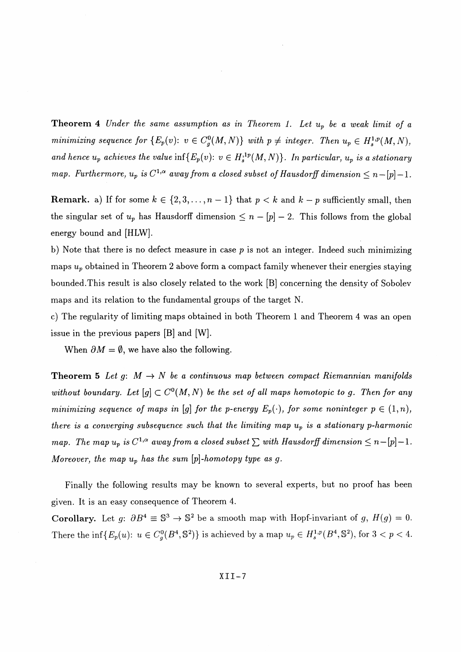**Theorem 4** *Under the same assumption as in Theorem 1. Let Up be a weak limit of a minimizing sequence for*  $\{E_p(v): v \in C^0_g(M, N)\}$  with  $p \neq$  integer. Then  $u_p \in H^{1,p}_s(M, N)$ , and hence  $u_p$  achieves the value inf $\{E_p(v): v \in H_s^{1,p}(M,N)\}$ . In particular,  $u_p$  is a stationary *map.* Furthermore,  $u_p$  is  $C^{1,\alpha}$  away from a closed subset of Hausdorff dimension  $\leq n - [p] - 1$ .

**Remark.** a) If for some  $k \in \{2, 3, ..., n-1\}$  that  $p < k$  and  $k - p$  sufficiently small, then the singular set of  $u_p$  has Hausdorff dimension  $\leq n - [p] - 2$ . This follows from the global energy bound and [HLW].

b) Note that there is no defect measure in case *p* is not an integer. Indeed such minimizing maps *Up* obtained in Theorem 2 above form a compact family whenever their energies staying bounded.This result is also closely related to the work [B] concerning the density of Sobolev maps and its relation to the fundamental groups of the target N.

c) The regularity of limiting maps obtained in both Theorem 1 and Theorem 4 was an open issue in the previous papers [B] and [W].

When  $\partial M = \emptyset$ , we have also the following.

**Theorem 5** Let g:  $M \to N$  be a continuous map between compact Riemannian manifolds without boundary. Let  $[g] \subset C^{0}(M, N)$  be the set of all maps homotopic to g. Then for any *minimizing sequence of maps in* [g] for the p-energy  $E_p(\cdot)$ , for some noninteger  $p \in (1,n)$ , *there is a converging subsequence such that the limiting map Up is a stationary p-harmomc map.* The map  $u_p$  is  $C^{1,\alpha}$  away from a closed subset  $\sum$  with Hausdorff dimension  $\leq n - [p]-1$ . *Moreover, the map*  $u_p$  has the sum  $[p]$ -homotopy type as g.

Finally the following results may be known to several experts, but no proof has been given. It is an easy consequence of Theorem 4.

**Corollary.** Let  $q: \partial B^4 \equiv \mathbb{S}^3 \rightarrow \mathbb{S}^2$  be a smooth map with Hopf-invariant of  $q, H(q) = 0$ . There the inf ${E_n(u): u \in C_n^0(B^4, \mathbb{S}^2)}$  is achieved by a map  $u_p \in H^{1,p}_s(B^4, \mathbb{S}^2)$ , for  $3 < p < 4$ .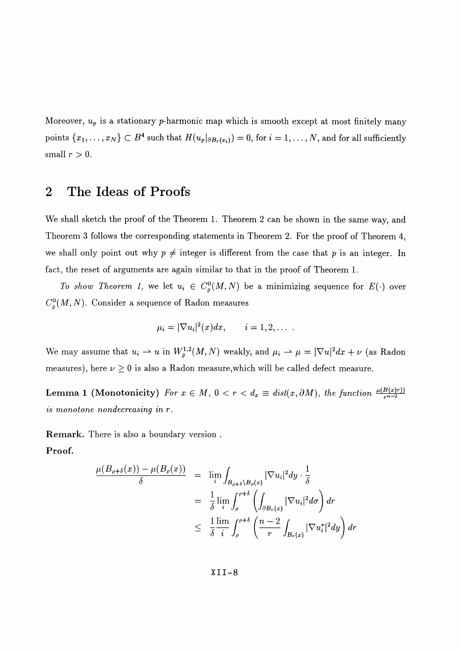Moreover,  $u_p$  is a stationary p-harmonic map which is smooth except at most finitely many points  $\{x_1, \ldots, x_N\} \subset B^4$  such that  $H(u_p|_{\partial B_r(x_i)}) = 0$ , for  $i = 1, \ldots, N$ , and for all sufficiently small  $r > 0$ .

# **2 The Ideas of Proofs**

We shall sketch the proof of the Theorem 1. Theorem 2 can be shown in the same way, and Theorem 3 follows the corresponding statements in Theorem 2. For the proof of Theorem 4, we shall only point out why  $p \neq$  integer is different from the case that p is an integer. In fact, the reset of arguments are again similar to that in the proof of Theorem 1.

*To show Theorem 1,* we let  $u_i \in C_g^0(M, N)$  be a minimizing sequence for  $E(\cdot)$  over  $C_g^0(M,N)$ . Consider a sequence of Radon measures

$$
\mu_i=|\nabla u_i|^2(x)dx, \qquad i=1,2,\ldots.
$$

We may assume that  $u_i \rightharpoonup u$  in  $W^{1,2}_g(M, N)$  weakly, and  $\mu_i \rightharpoonup \mu = |\nabla u|^2 dx + \nu$  (as Radon measures), here  $\nu \ge 0$  is also a Radon measure,<br>which will be called defect measure.

**Lemma 1 (Monotonicity)** For  $x \in M$ ,  $0 < r < d_x \equiv dist(x, \partial M)$ , the function  $\frac{\mu(B(x)r)}{r^{n-2}}$ *is monotone nondecreasing in* r.

**Remark.** There is also a boundary version **. Proof.**

$$
\frac{\mu(B_{\rho+\delta}(x)) - \mu(B_{\rho}(x))}{\delta} = \lim_{i} \int_{B_{\rho+\delta}\setminus B_{\rho}(x)} |\nabla u_i|^2 dy \cdot \frac{1}{\delta}
$$
  
\n
$$
= \frac{1}{\delta} \lim_{i} \int_{\rho}^{\rho+\delta} \left( \int_{\partial B_r(x)} |\nabla u_i|^2 d\sigma \right) dr
$$
  
\n
$$
\leq \frac{1}{\delta} \frac{\lim_{i} \int_{\rho}^{\rho+\delta} \left( \frac{n-2}{r} \int_{B_r(x)} |\nabla u_i^*|^2 dy \right) dr
$$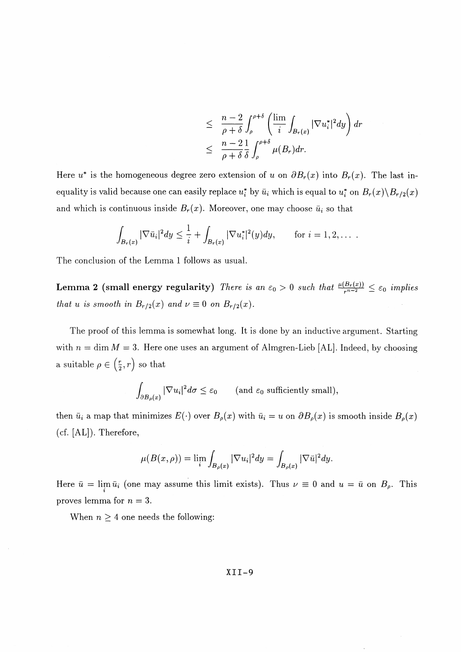$$
\leq \frac{n-2}{\rho+\delta} \int_{\rho}^{\rho+\delta} \left( \frac{\lim}{i} \int_{B_r(x)} |\nabla u_i^*|^2 dy \right) dr
$$
  

$$
\leq \frac{n-2}{\rho+\delta} \frac{1}{\delta} \int_{\rho}^{\rho+\delta} \mu(B_r) dr.
$$

Here  $u^*$  is the homogeneous degree zero extension of u on  $\partial B_r(x)$  into  $B_r(x)$ . The last inequality is valid because one can easily replace  $u^*$  by  $\bar{u}_i$  which is equal to  $u^*$  on  $B_r(x)\Bigr\setminus B_{r/2}(x)$ and which is continuous inside  $B_r(x)$ . Moreover, one may choose  $\bar{u}_i$  so that

$$
\int_{B_r(x)} |\nabla \bar{u}_i|^2 dy \leq \frac{1}{i} + \int_{B_r(x)} |\nabla u_i^*|^2(y) dy, \quad \text{for } i = 1, 2, \dots
$$

The conclusion of the Lemma 1 follows as usual.

Lemma 2 (small energy regularity) *There is an*  $\varepsilon_0 > 0$  such that  $\frac{\mu(B_r(x))}{r^{n-2}} \leq \varepsilon_0$  implies *that u is smooth in*  $B_{r/2}(x)$  *and*  $\nu \equiv 0$  *on*  $B_{r/2}(x)$ *.* 

The proof of this lemma is somewhat long. It is done by an inductive argument. Starting with  $n = \dim M = 3$ . Here one uses an argument of Almgren-Lieb [AL]. Indeed, by choosing a suitable  $\rho \in \left(\frac{r}{2}, r\right)$  so that

$$
\int_{\partial B_{\rho}(x)} |\nabla u_i|^2 d\sigma \leq \varepsilon_0 \qquad \text{(and } \varepsilon_0 \text{ sufficiently small}\text{)},
$$

then  $\bar{u}_i$  a map that minimizes  $E(\cdot)$  over  $B_\rho(x)$  with  $\bar{u}_i = u$  on  $\partial B_\rho(x)$  is smooth inside  $B_\rho(x)$ (cf. [AL]). Therefore,

$$
\mu(B(x,\rho)) = \lim_i \int_{B_\rho(x)} |\nabla u_i|^2 dy = \int_{B_\rho(x)} |\nabla \bar{u}|^2 dy.
$$

Here  $\bar{u} = \lim_{i} \bar{u}_i$  (one may assume this limit exists). Thus  $\nu \equiv 0$  and  $u = \bar{u}$  on  $B_\rho$ . This proves lemma for *n* = 3.

When  $n \geq 4$  one needs the following: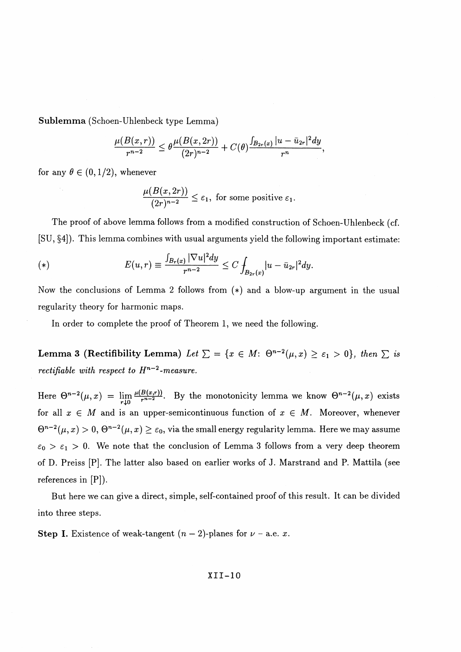**Sublemma** (Schoen-Uhlenbeck type Lemma)

$$
\frac{\mu(B(x,r))}{r^{n-2}} \leq \theta \frac{\mu(B(x,2r))}{(2r)^{n-2}} + C(\theta) \frac{\int_{B_{2r}(x)} |u - \bar{u}_{2r}|^2 dy}{r^n},
$$

for any  $\theta \in (0,1/2)$ , whenever

$$
\frac{\mu(B(x,2r))}{(2r)^{n-2}} \leq \varepsilon_1
$$
, for some positive  $\varepsilon_1$ .

The proof of above lemma follows from a modified construction of Schoen-Uhlenbeck (cf.

[SU, §4]). This lemma combines with usual arguments yield the following important estimate:  
\n(\*)  
\n
$$
E(u,r) \equiv \frac{\int_{B_r(x)} |\nabla u|^2 dy}{r^{n-2}} \leq C \int_{B_{2r}(x)} |u - \bar{u}_{2r}|^2 dy.
$$

Now the conclusions of Lemma 2 follows from (\*) and a blow-up argument in the usual regularity theory for harmonic maps.

In order to complete the proof of Theorem 1, we need the following.

**Lemma 3 (Rectifibility Lemma)** Let  $\sum = \{x \in M: \Theta^{n-2}(\mu, x) \ge \varepsilon_1 > 0\}$ , then  $\sum$  is *rectifiable with respect to*  $H^{n-2}$ *-measure.* 

Here  $\Theta^{n-2}(\mu, x) = \lim_{r \downarrow 0} \frac{\mu(B(x,r))}{r^{n-2}}$ . By the monotonicity lemma we know  $\Theta^{n-2}(\mu, x)$  exists for all  $x \in M$  and is an upper-semicontinuous function of  $x \in M$ . Moreover, whenever  $\Theta^{n-2}(\mu, x) > 0$ ,  $\Theta^{n-2}(\mu, x) \geq \varepsilon_0$ , via the small energy regularity lemma. Here we may assume  $\varepsilon_0 > \varepsilon_1 > 0$ . We note that the conclusion of Lemma 3 follows from a very deep theorem of D. Preiss [P]. The latter also based on earlier works of J. Marstrand and P. Mattila (see references in [P]).

But here we can give a direct, simple, self-contained proof of this result. It can be divided into three steps.

**Step I.** Existence of weak-tangent  $(n-2)$ -planes for  $\nu$  - a.e. x.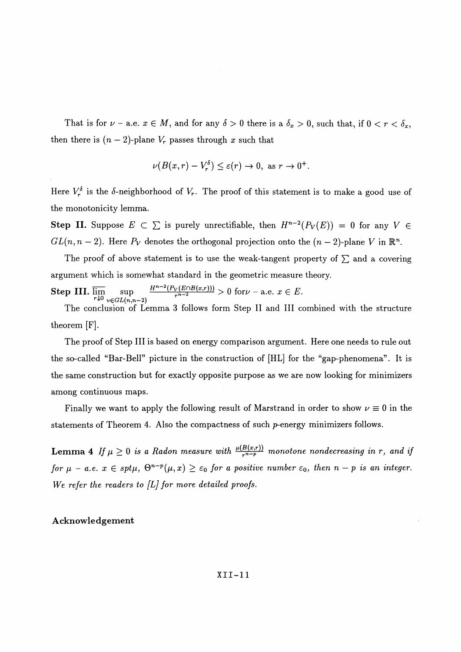That is for  $\nu$  - a.e.  $x \in M$ , and for any  $\delta > 0$  there is a  $\delta_x > 0$ , such that, if  $0 < r < \delta_x$ , then there is  $(n-2)$ -plane  $V_r$  passes through x such that

$$
\nu(B(x,r)-V_r^{\delta}) \leq \varepsilon(r) \to 0, \text{ as } r \to 0^+.
$$

Here  $V^{\delta}_{r}$  is the  $\delta$ -neighborhood of  $V_{r}$ . The proof of this statement is to make a good use of the monotonicity lemma.

**Step II.** Suppose  $E \subset \sum$  is purely unrectifiable, then  $H^{n-2}(P_V(E)) = 0$  for any  $V \in$  $GL(n, n - 2)$ . Here  $P_V$  denotes the orthogonal projection onto the  $(n - 2)$ -plane V in R<sup>n</sup>

The proof of above statement is to use the weak-tangent property of  $\Sigma$  and a covering argument which is somewhat standard in the geometric measure theory.

 $\frac{H^{n-2}(P_V(E \cap B(x,r)))}{r^{n-2}} > 0$  for  $\nu$  - a.e.  $x \in E$ .  $r+0$   $v \in GL(n,n-2)$ 

The conclusion of Lemma 3 follows form Step II and III combined with the structure theorem [F].

The proof of Step III is based on energy comparison argument. Here one needs to rule out the so-called "Bar-Bell" picture in the construction of [HL] for the "gap-phenomena". It is the same construction but for exactly opposite purpose as we are now looking for minimizers among continuous maps.

Finally we want to apply the following result of Marstrand in order to show  $\nu \equiv 0$  in the statements of Theorem 4. Also the compactness of such p-energy minimizers follows.

**Lemma 4** If  $\mu \geq 0$  is a Radon measure with  $\frac{\mu(B(x,r))}{r^n-p}$  monotone nondecreasing in r, and if *for*  $\mu$  - *a.e.*  $x \in spt\mu$ ,  $\Theta^{n-p}(\mu, x) \geq \varepsilon_0$  *for a positive number*  $\varepsilon_0$ *, then n – p is an integer. We refer the readers to [L] for more detailed proofs.*

### Acknowledgement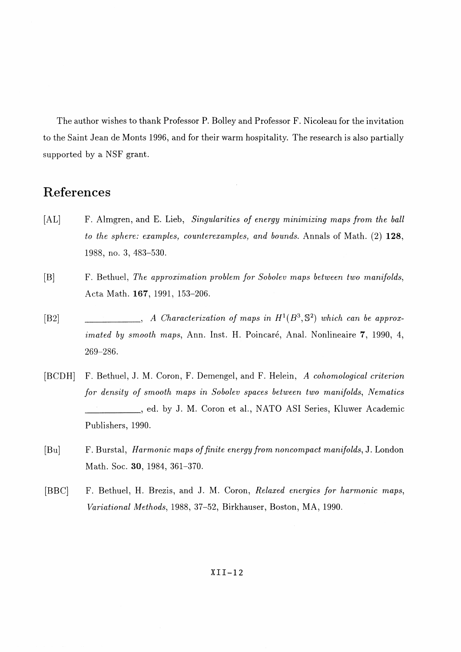The author wishes to thank Professor P. Bolley and Professor F. Nicoleau for the invitation to the Saint Jean de Monts 1996, and for their warm hospitality. The research is also partially supported by a NSF grant.

## References

- [AL] F. Almgren, and E. Lieb, *Singularities of energy minimizing maps from the ball to the sphere: examples, counterexamples, and bounds.* Annals of Math. (2) **128,** 1988, no. 3, 483-530.
- [B] F. Bethuel, *The approximation problem for Sobolev maps between two manifolds,* Acta Math. **167,** 1991, 153-206.
- [B2]  $A$  *Characterization of maps in*  $H^1(B^3, \mathbb{S}^2)$  which can be approx*imated by smooth maps, Ann. Inst. H. Poincaré, Anal. Nonlineaire 7, 1990, 4,* 269-286.
- [BCDH] F. Bethuel, J. M. Coron, F. Demengel, and F. Helein, A *cohomological criterion for density of smooth maps in Sobolev spaces between two manifolds, Nematics \_\_\_\_\_\_\_\_\_*, ed. by J. M. Coron et al., NATO ASI Series, Kluwer Academic Publishers, 1990.
- [Bu] F. Burstal, *Harmonic maps of finite energy from noncompact manifolds,* J. London Math. Soc. **30,** 1984, 361-370.
- [BBC] F. Bethuel, H. Brezis, and J. M. Coron, *Relaxed energies for harmonic maps, Variational Methods,* 1988, 37-52, Birkhauser, Boston, MA, 1990.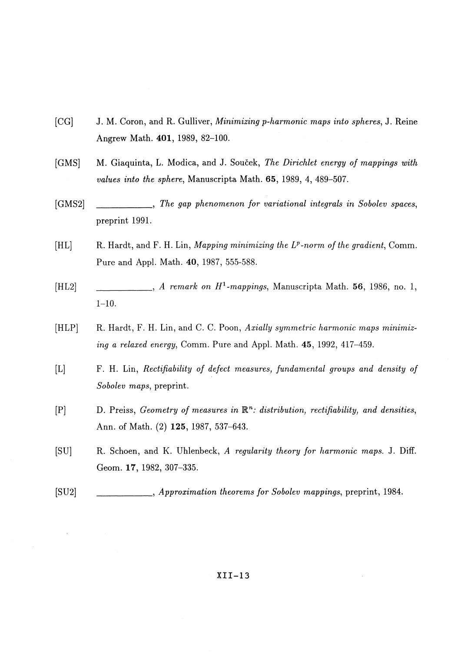- [CG1 J. M. Coron, and R. Gulliver, *Minimizing p-harmonic maps into spheres,* J. Reine Angrew Math. **401,** 1989, 82-100.
- [GMS] M. Giaquinta, L. Modica, and J. Soucek, *The Dirichlet energy of mappings with values into the sphere,* Manuscripta Math. **65,** 1989, 4, 489-507.
- [GMS2] \_\_\_\_\_\_\_\_\_, *The gap phenomenon for variational integrals in Sobolev spaces,* preprint 1991.
- [HL] R. Hardt, and F. H. Lin, *Mapping minimizing the L<sup>p</sup> -norm of the gradient,* Comm. Pure and Appl. Math. **40,** 1987, 555-588.
- [HL2]  $\qquad \qquad \qquad \ldots$  A remark on  $H^1$ -mappings, Manuscripta Math. **56**, 1986, no. 1, 1-10.
- [HLP] R. Hardt, F. H. Lin, and C. C. Poon, *Axially symmetric harmonic maps minimizing a relaxed energy,* Comm. Pure and Appl. Math. **45,** 1992, 417-459.
- [L] F. H. Lin, *Rectifiability of defect measures, fundamental groups and density of Sobolev maps,* preprint.
- [P] D. Preiss, *Geometry of measures in*  $\mathbb{R}^n$ : *distribution, rectifiability, and densities,* Ann. of Math. (2) **125,** 1987, 537-643.
- [SU] R. Schoen, and K. Uhlenbeck, *A regularity theory for harmonic maps.* J. Diff. Geom. **17,** 1982, 307-335.
- [SU2] \_\_\_\_\_\_\_\_\_, *Approximation theorems for Sobolev mappings,* preprint, 1984.